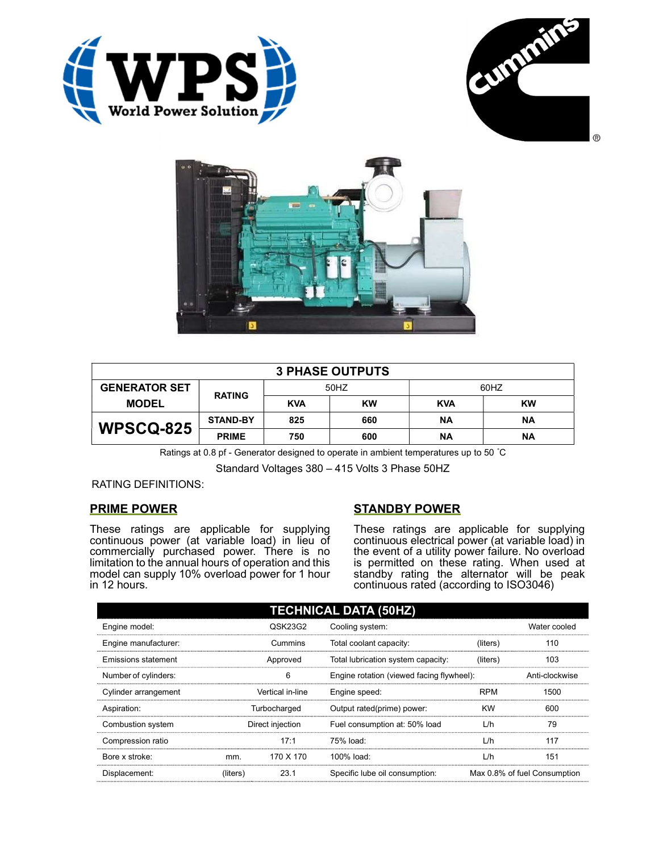





| <b>3 PHASE OUTPUTS</b> |                 |            |           |            |           |  |
|------------------------|-----------------|------------|-----------|------------|-----------|--|
| <b>GENERATOR SET</b>   | <b>RATING</b>   | 50HZ       |           | 60HZ       |           |  |
| <b>MODEL</b>           |                 | <b>KVA</b> | <b>KW</b> | <b>KVA</b> | <b>KW</b> |  |
| <b>WPSCQ-825</b>       | <b>STAND-BY</b> | 825        | 660       | ΝA         | ΝA        |  |
|                        | <b>PRIME</b>    | 750        | 600       | ΝA         | <b>NA</b> |  |

Ratings at 0.8 pf - Generator designed to operate in ambient temperatures up to 50 °C

Standard Voltages 380 – 415 Volts 3 Phase 50HZ

RATING DEFINITIONS:

## PRIME POWER

These ratings are applicable for supplying continuous power (at variable load) in lieu of commercially purchased power. There is no limitation to the annual hours of operation and this model can supply 10% overload power for 1 hour in 12 hours.

## STANDBY POWER

These ratings are applicable for supplying continuous electrical power (at variable load) in the event of a utility power failure. No overload is permitted on these rating. When used at standby rating the alternator will be peak continuous rated (according to ISO3046)

| <b>TECHNICAL DATA (50HZ)</b> |                  |           |                                           |            |                              |  |
|------------------------------|------------------|-----------|-------------------------------------------|------------|------------------------------|--|
| Engine model:                |                  | QSK23G2   | Cooling system:                           |            | Water cooled                 |  |
| Engine manufacturer:         |                  | Cummins   | Total coolant capacity:                   | (liters)   | 110                          |  |
| Emissions statement          | Approved         |           | Total lubrication system capacity:        | (liters)   | 103                          |  |
| Number of cylinders:         | 6                |           | Engine rotation (viewed facing flywheel): |            | Anti-clockwise               |  |
| Cylinder arrangement         | Vertical in-line |           | Engine speed:                             | <b>RPM</b> | 1500                         |  |
| Aspiration:                  | Turbocharged     |           | Output rated(prime) power:                | <b>KW</b>  | 600                          |  |
| Combustion system            | Direct injection |           | Fuel consumption at: 50% load             | L/h        | 79                           |  |
| Compression ratio            |                  | 17:1      | 75% load:                                 | L/h        | 117                          |  |
| Bore x stroke:               | mm.              | 170 X 170 | $100\%$ load:                             | L/h        | 151                          |  |
| Displacement:                | (liters)         | 23.1      | Specific lube oil consumption:            |            | Max 0.8% of fuel Consumption |  |